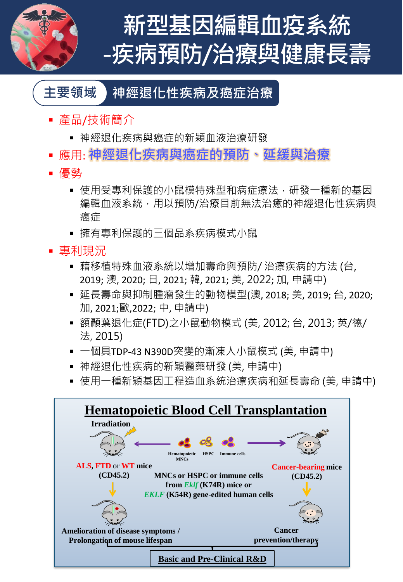

# **新型基因編輯血疫系統 -疾病預防/治療與健康長壽**

#### **主要領域 神經退化性疾病及癌症治療**

- 產品/技術簡介
	- 神經退化疾病與癌症的新穎血液治療研發
- 應用: **神經退化疾病與癌症的預防、延緩與治療**
- 優勢
	- 使用受專利保護的小鼠模特殊型和病症療法, 研發一種新的基因 編輯血液系統,用以預防/治療目前無法治癒的神經退化性疾病與 癌症
	- 擁有專利保護的三個品系疾病模式小鼠
- 事利現況
	- 藉移植特殊血液系統以增加壽命與預防/ 治療疾病的方法 (台, 2019; 澳, 2020; 日, 2021; 韓, 2021; 美, 2022; 加, 申請中)
	- 延長壽命與抑制腫瘤發生的動物模型(澳, 2018; 美, 2019; 台, 2020; 加, 2021;歐,2022; 中, 申請中)
	- 額顳葉退化症(FTD)之小鼠動物模式 (美, 2012; 台, 2013; 英/德/ 法, 2015)
	- 一個具TDP-43 N390D突變的漸凍人小鼠模式 (美, 申請中)
	- 神經退化性疾病的新穎醫藥研發 (美, 申請中)
	- 使用一種新穎基因工程造血系統治療疾病和延長壽命 (美, 申請中)

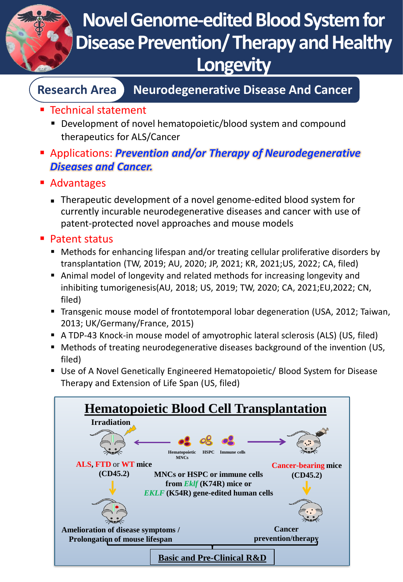

## **Novel Genome-edited Blood System for Disease Prevention/ Therapy and Healthy Longevity**

#### **Research Area Neurodegenerative Disease And Cancer**

- Technical statement
	- Development of novel hematopoietic/blood system and compound therapeutics for ALS/Cancer
- Applications: *Prevention and/or Therapy of Neurodegenerative Diseases and Cancer.*
- Advantages
	- Therapeutic development of a novel genome-edited blood system for currently incurable neurodegenerative diseases and cancer with use of patent-protected novel approaches and mouse models
- Patent status
	- Methods for enhancing lifespan and/or treating cellular proliferative disorders by transplantation (TW, 2019; AU, 2020; JP, 2021; KR, 2021;US, 2022; CA, filed)
	- Animal model of longevity and related methods for increasing longevity and inhibiting tumorigenesis(AU, 2018; US, 2019; TW, 2020; CA, 2021;EU,2022; CN, filed)
	- Transgenic mouse model of frontotemporal lobar degeneration (USA, 2012; Taiwan, 2013; UK/Germany/France, 2015)
	- A TDP-43 Knock-in mouse model of amyotrophic lateral sclerosis (ALS) (US, filed)
	- Methods of treating neurodegenerative diseases background of the invention (US, filed)
	- Use of A Novel Genetically Engineered Hematopoietic/ Blood System for Disease Therapy and Extension of Life Span (US, filed)